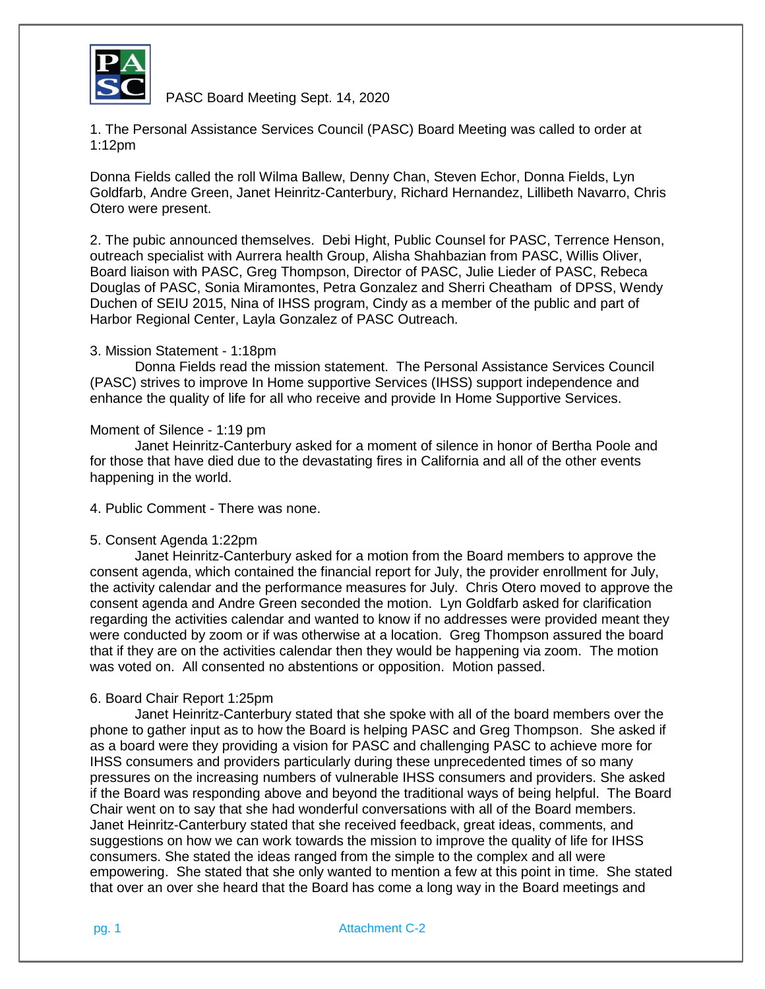

PASC Board Meeting Sept. 14, 2020

1. The Personal Assistance Services Council (PASC) Board Meeting was called to order at 1:12pm

Donna Fields called the roll Wilma Ballew, Denny Chan, Steven Echor, Donna Fields, Lyn Goldfarb, Andre Green, Janet Heinritz-Canterbury, Richard Hernandez, Lillibeth Navarro, Chris Otero were present.

2. The pubic announced themselves. Debi Hight, Public Counsel for PASC, Terrence Henson, outreach specialist with Aurrera health Group, Alisha Shahbazian from PASC, Willis Oliver, Board liaison with PASC, Greg Thompson, Director of PASC, Julie Lieder of PASC, Rebeca Douglas of PASC, Sonia Miramontes, Petra Gonzalez and Sherri Cheatham of DPSS, Wendy Duchen of SEIU 2015, Nina of IHSS program, Cindy as a member of the public and part of Harbor Regional Center, Layla Gonzalez of PASC Outreach.

## 3. Mission Statement - 1:18pm

Donna Fields read the mission statement. The Personal Assistance Services Council (PASC) strives to improve In Home supportive Services (IHSS) support independence and enhance the quality of life for all who receive and provide In Home Supportive Services.

## Moment of Silence - 1:19 pm

Janet Heinritz-Canterbury asked for a moment of silence in honor of Bertha Poole and for those that have died due to the devastating fires in California and all of the other events happening in the world.

4. Public Comment - There was none.

#### 5. Consent Agenda 1:22pm

Janet Heinritz-Canterbury asked for a motion from the Board members to approve the consent agenda, which contained the financial report for July, the provider enrollment for July, the activity calendar and the performance measures for July. Chris Otero moved to approve the consent agenda and Andre Green seconded the motion. Lyn Goldfarb asked for clarification regarding the activities calendar and wanted to know if no addresses were provided meant they were conducted by zoom or if was otherwise at a location. Greg Thompson assured the board that if they are on the activities calendar then they would be happening via zoom. The motion was voted on. All consented no abstentions or opposition. Motion passed.

#### 6. Board Chair Report 1:25pm

Janet Heinritz-Canterbury stated that she spoke with all of the board members over the phone to gather input as to how the Board is helping PASC and Greg Thompson. She asked if as a board were they providing a vision for PASC and challenging PASC to achieve more for IHSS consumers and providers particularly during these unprecedented times of so many pressures on the increasing numbers of vulnerable IHSS consumers and providers. She asked if the Board was responding above and beyond the traditional ways of being helpful. The Board Chair went on to say that she had wonderful conversations with all of the Board members. Janet Heinritz-Canterbury stated that she received feedback, great ideas, comments, and suggestions on how we can work towards the mission to improve the quality of life for IHSS consumers. She stated the ideas ranged from the simple to the complex and all were empowering. She stated that she only wanted to mention a few at this point in time. She stated that over an over she heard that the Board has come a long way in the Board meetings and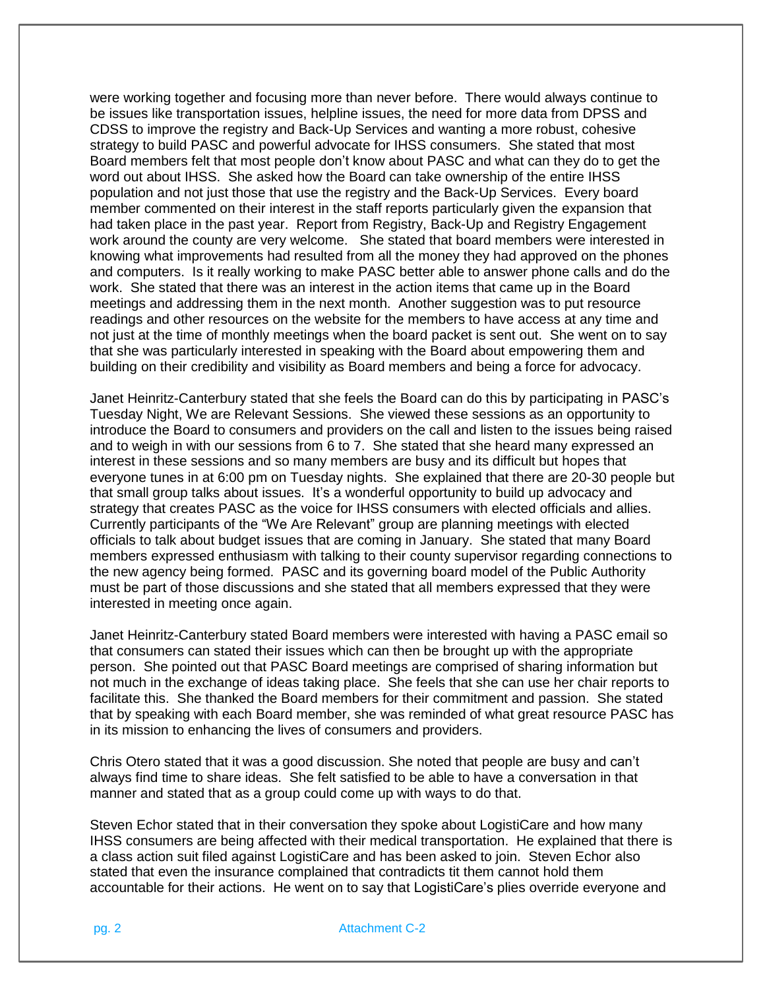were working together and focusing more than never before. There would always continue to be issues like transportation issues, helpline issues, the need for more data from DPSS and CDSS to improve the registry and Back-Up Services and wanting a more robust, cohesive strategy to build PASC and powerful advocate for IHSS consumers. She stated that most Board members felt that most people don't know about PASC and what can they do to get the word out about IHSS. She asked how the Board can take ownership of the entire IHSS population and not just those that use the registry and the Back-Up Services. Every board member commented on their interest in the staff reports particularly given the expansion that had taken place in the past year. Report from Registry, Back-Up and Registry Engagement work around the county are very welcome. She stated that board members were interested in knowing what improvements had resulted from all the money they had approved on the phones and computers. Is it really working to make PASC better able to answer phone calls and do the work. She stated that there was an interest in the action items that came up in the Board meetings and addressing them in the next month. Another suggestion was to put resource readings and other resources on the website for the members to have access at any time and not just at the time of monthly meetings when the board packet is sent out. She went on to say that she was particularly interested in speaking with the Board about empowering them and building on their credibility and visibility as Board members and being a force for advocacy.

Janet Heinritz-Canterbury stated that she feels the Board can do this by participating in PASC's Tuesday Night, We are Relevant Sessions. She viewed these sessions as an opportunity to introduce the Board to consumers and providers on the call and listen to the issues being raised and to weigh in with our sessions from 6 to 7. She stated that she heard many expressed an interest in these sessions and so many members are busy and its difficult but hopes that everyone tunes in at 6:00 pm on Tuesday nights. She explained that there are 20-30 people but that small group talks about issues. It's a wonderful opportunity to build up advocacy and strategy that creates PASC as the voice for IHSS consumers with elected officials and allies. Currently participants of the "We Are Relevant" group are planning meetings with elected officials to talk about budget issues that are coming in January. She stated that many Board members expressed enthusiasm with talking to their county supervisor regarding connections to the new agency being formed. PASC and its governing board model of the Public Authority must be part of those discussions and she stated that all members expressed that they were interested in meeting once again.

Janet Heinritz-Canterbury stated Board members were interested with having a PASC email so that consumers can stated their issues which can then be brought up with the appropriate person. She pointed out that PASC Board meetings are comprised of sharing information but not much in the exchange of ideas taking place. She feels that she can use her chair reports to facilitate this. She thanked the Board members for their commitment and passion. She stated that by speaking with each Board member, she was reminded of what great resource PASC has in its mission to enhancing the lives of consumers and providers.

Chris Otero stated that it was a good discussion. She noted that people are busy and can't always find time to share ideas. She felt satisfied to be able to have a conversation in that manner and stated that as a group could come up with ways to do that.

Steven Echor stated that in their conversation they spoke about LogistiCare and how many IHSS consumers are being affected with their medical transportation. He explained that there is a class action suit filed against LogistiCare and has been asked to join. Steven Echor also stated that even the insurance complained that contradicts tit them cannot hold them accountable for their actions. He went on to say that LogistiCare's plies override everyone and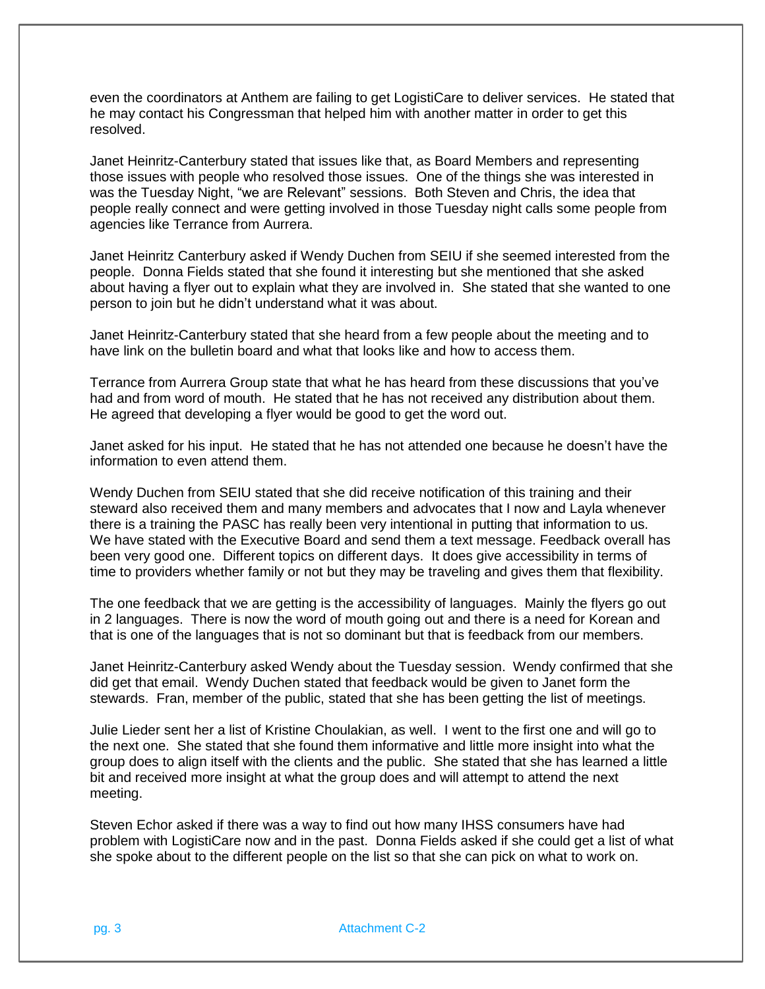even the coordinators at Anthem are failing to get LogistiCare to deliver services. He stated that he may contact his Congressman that helped him with another matter in order to get this resolved.

Janet Heinritz-Canterbury stated that issues like that, as Board Members and representing those issues with people who resolved those issues. One of the things she was interested in was the Tuesday Night, "we are Relevant" sessions. Both Steven and Chris, the idea that people really connect and were getting involved in those Tuesday night calls some people from agencies like Terrance from Aurrera.

Janet Heinritz Canterbury asked if Wendy Duchen from SEIU if she seemed interested from the people. Donna Fields stated that she found it interesting but she mentioned that she asked about having a flyer out to explain what they are involved in. She stated that she wanted to one person to join but he didn't understand what it was about.

Janet Heinritz-Canterbury stated that she heard from a few people about the meeting and to have link on the bulletin board and what that looks like and how to access them.

Terrance from Aurrera Group state that what he has heard from these discussions that you've had and from word of mouth. He stated that he has not received any distribution about them. He agreed that developing a flyer would be good to get the word out.

Janet asked for his input. He stated that he has not attended one because he doesn't have the information to even attend them.

Wendy Duchen from SEIU stated that she did receive notification of this training and their steward also received them and many members and advocates that I now and Layla whenever there is a training the PASC has really been very intentional in putting that information to us. We have stated with the Executive Board and send them a text message. Feedback overall has been very good one. Different topics on different days. It does give accessibility in terms of time to providers whether family or not but they may be traveling and gives them that flexibility.

The one feedback that we are getting is the accessibility of languages. Mainly the flyers go out in 2 languages. There is now the word of mouth going out and there is a need for Korean and that is one of the languages that is not so dominant but that is feedback from our members.

Janet Heinritz-Canterbury asked Wendy about the Tuesday session. Wendy confirmed that she did get that email. Wendy Duchen stated that feedback would be given to Janet form the stewards. Fran, member of the public, stated that she has been getting the list of meetings.

Julie Lieder sent her a list of Kristine Choulakian, as well. I went to the first one and will go to the next one. She stated that she found them informative and little more insight into what the group does to align itself with the clients and the public. She stated that she has learned a little bit and received more insight at what the group does and will attempt to attend the next meeting.

Steven Echor asked if there was a way to find out how many IHSS consumers have had problem with LogistiCare now and in the past. Donna Fields asked if she could get a list of what she spoke about to the different people on the list so that she can pick on what to work on.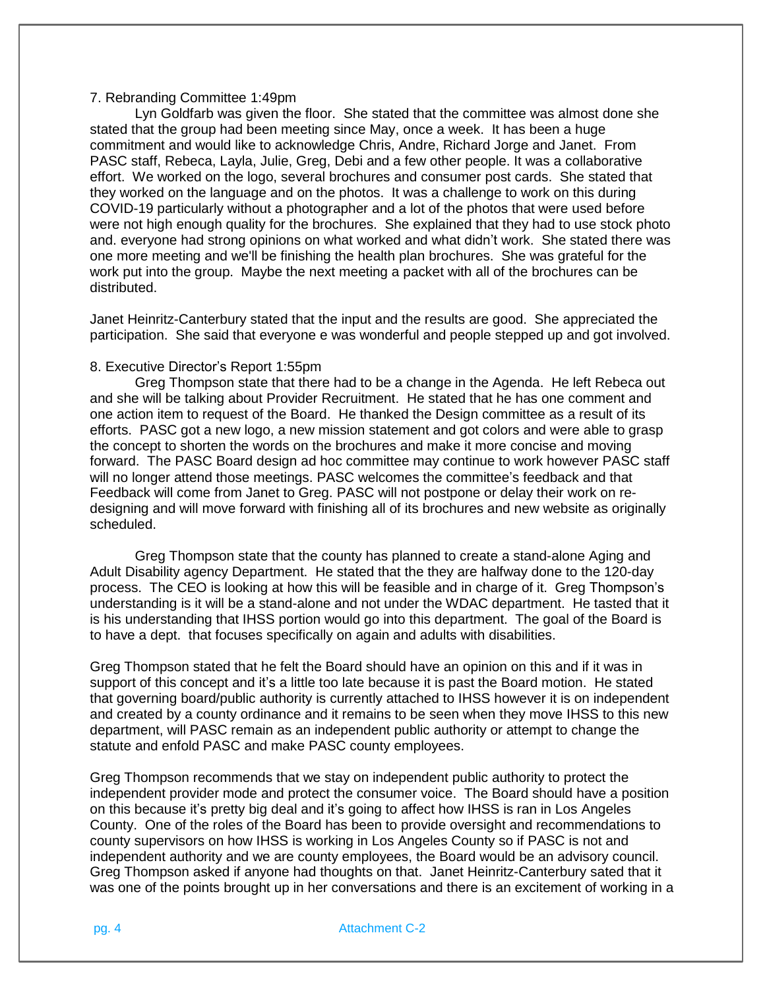# 7. Rebranding Committee 1:49pm

Lyn Goldfarb was given the floor. She stated that the committee was almost done she stated that the group had been meeting since May, once a week. It has been a huge commitment and would like to acknowledge Chris, Andre, Richard Jorge and Janet. From PASC staff, Rebeca, Layla, Julie, Greg, Debi and a few other people. It was a collaborative effort. We worked on the logo, several brochures and consumer post cards. She stated that they worked on the language and on the photos. It was a challenge to work on this during COVID-19 particularly without a photographer and a lot of the photos that were used before were not high enough quality for the brochures. She explained that they had to use stock photo and. everyone had strong opinions on what worked and what didn't work. She stated there was one more meeting and we'll be finishing the health plan brochures. She was grateful for the work put into the group. Maybe the next meeting a packet with all of the brochures can be distributed.

Janet Heinritz-Canterbury stated that the input and the results are good. She appreciated the participation. She said that everyone e was wonderful and people stepped up and got involved.

## 8. Executive Director's Report 1:55pm

Greg Thompson state that there had to be a change in the Agenda. He left Rebeca out and she will be talking about Provider Recruitment. He stated that he has one comment and one action item to request of the Board. He thanked the Design committee as a result of its efforts. PASC got a new logo, a new mission statement and got colors and were able to grasp the concept to shorten the words on the brochures and make it more concise and moving forward. The PASC Board design ad hoc committee may continue to work however PASC staff will no longer attend those meetings. PASC welcomes the committee's feedback and that Feedback will come from Janet to Greg. PASC will not postpone or delay their work on redesigning and will move forward with finishing all of its brochures and new website as originally scheduled.

Greg Thompson state that the county has planned to create a stand-alone Aging and Adult Disability agency Department. He stated that the they are halfway done to the 120-day process. The CEO is looking at how this will be feasible and in charge of it. Greg Thompson's understanding is it will be a stand-alone and not under the WDAC department. He tasted that it is his understanding that IHSS portion would go into this department. The goal of the Board is to have a dept. that focuses specifically on again and adults with disabilities.

Greg Thompson stated that he felt the Board should have an opinion on this and if it was in support of this concept and it's a little too late because it is past the Board motion. He stated that governing board/public authority is currently attached to IHSS however it is on independent and created by a county ordinance and it remains to be seen when they move IHSS to this new department, will PASC remain as an independent public authority or attempt to change the statute and enfold PASC and make PASC county employees.

Greg Thompson recommends that we stay on independent public authority to protect the independent provider mode and protect the consumer voice. The Board should have a position on this because it's pretty big deal and it's going to affect how IHSS is ran in Los Angeles County. One of the roles of the Board has been to provide oversight and recommendations to county supervisors on how IHSS is working in Los Angeles County so if PASC is not and independent authority and we are county employees, the Board would be an advisory council. Greg Thompson asked if anyone had thoughts on that. Janet Heinritz-Canterbury sated that it was one of the points brought up in her conversations and there is an excitement of working in a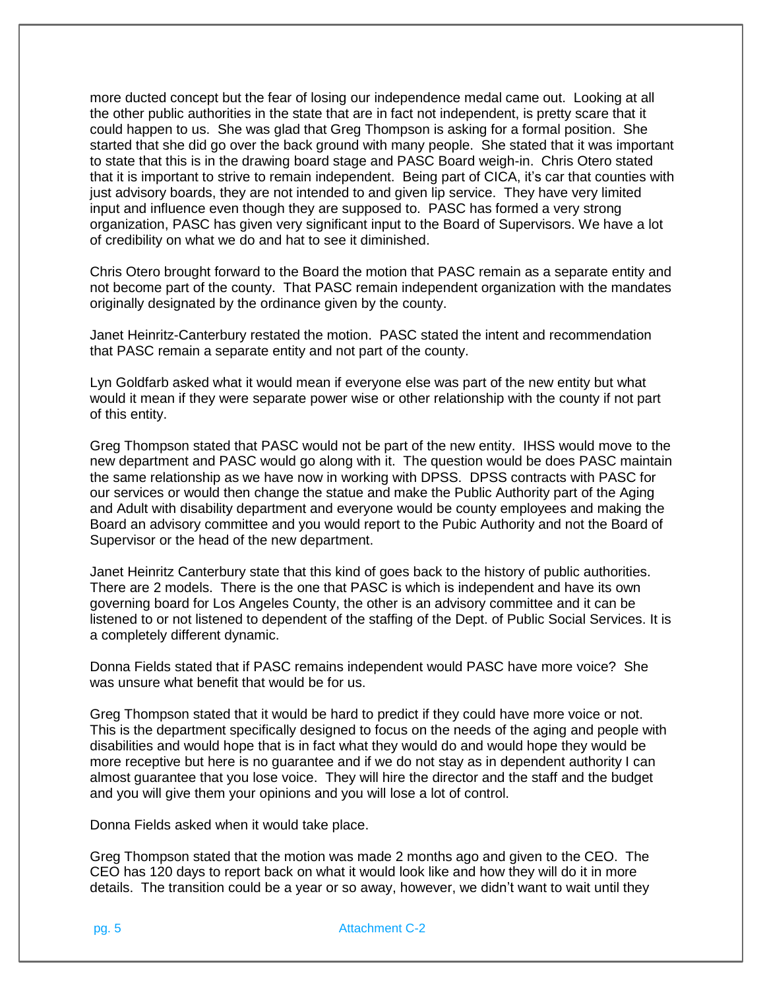more ducted concept but the fear of losing our independence medal came out. Looking at all the other public authorities in the state that are in fact not independent, is pretty scare that it could happen to us. She was glad that Greg Thompson is asking for a formal position. She started that she did go over the back ground with many people. She stated that it was important to state that this is in the drawing board stage and PASC Board weigh-in. Chris Otero stated that it is important to strive to remain independent. Being part of CICA, it's car that counties with just advisory boards, they are not intended to and given lip service. They have very limited input and influence even though they are supposed to. PASC has formed a very strong organization, PASC has given very significant input to the Board of Supervisors. We have a lot of credibility on what we do and hat to see it diminished.

Chris Otero brought forward to the Board the motion that PASC remain as a separate entity and not become part of the county. That PASC remain independent organization with the mandates originally designated by the ordinance given by the county.

Janet Heinritz-Canterbury restated the motion. PASC stated the intent and recommendation that PASC remain a separate entity and not part of the county.

Lyn Goldfarb asked what it would mean if everyone else was part of the new entity but what would it mean if they were separate power wise or other relationship with the county if not part of this entity.

Greg Thompson stated that PASC would not be part of the new entity. IHSS would move to the new department and PASC would go along with it. The question would be does PASC maintain the same relationship as we have now in working with DPSS. DPSS contracts with PASC for our services or would then change the statue and make the Public Authority part of the Aging and Adult with disability department and everyone would be county employees and making the Board an advisory committee and you would report to the Pubic Authority and not the Board of Supervisor or the head of the new department.

Janet Heinritz Canterbury state that this kind of goes back to the history of public authorities. There are 2 models. There is the one that PASC is which is independent and have its own governing board for Los Angeles County, the other is an advisory committee and it can be listened to or not listened to dependent of the staffing of the Dept. of Public Social Services. It is a completely different dynamic.

Donna Fields stated that if PASC remains independent would PASC have more voice? She was unsure what benefit that would be for us.

Greg Thompson stated that it would be hard to predict if they could have more voice or not. This is the department specifically designed to focus on the needs of the aging and people with disabilities and would hope that is in fact what they would do and would hope they would be more receptive but here is no guarantee and if we do not stay as in dependent authority I can almost guarantee that you lose voice. They will hire the director and the staff and the budget and you will give them your opinions and you will lose a lot of control.

Donna Fields asked when it would take place.

Greg Thompson stated that the motion was made 2 months ago and given to the CEO. The CEO has 120 days to report back on what it would look like and how they will do it in more details. The transition could be a year or so away, however, we didn't want to wait until they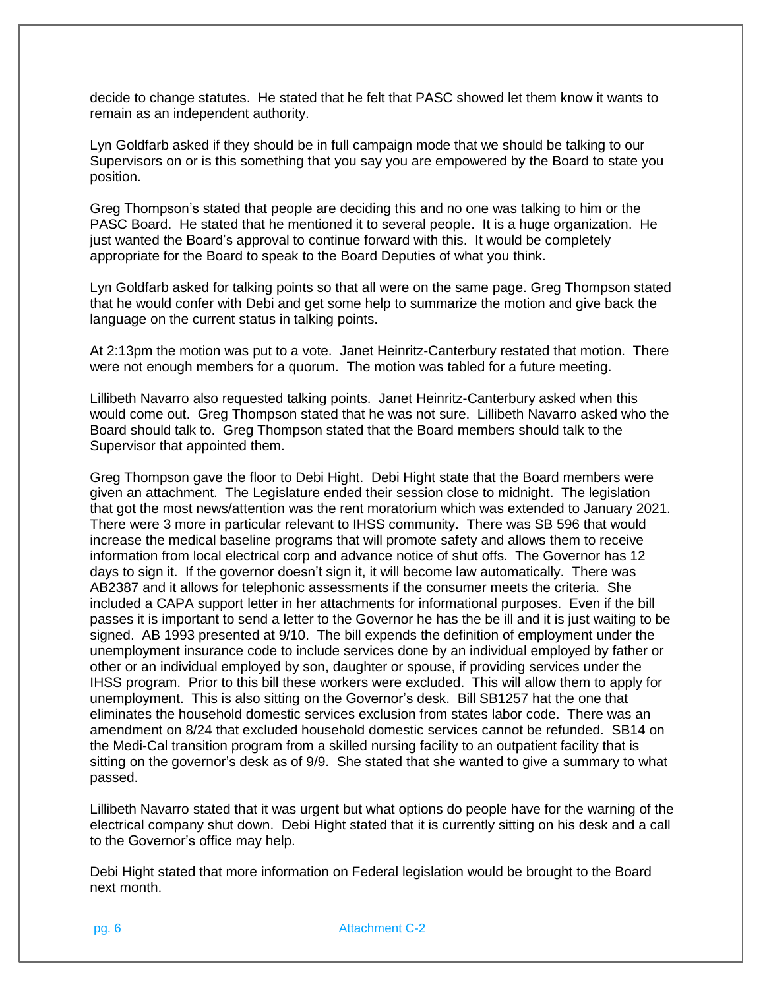decide to change statutes. He stated that he felt that PASC showed let them know it wants to remain as an independent authority.

Lyn Goldfarb asked if they should be in full campaign mode that we should be talking to our Supervisors on or is this something that you say you are empowered by the Board to state you position.

Greg Thompson's stated that people are deciding this and no one was talking to him or the PASC Board. He stated that he mentioned it to several people. It is a huge organization. He just wanted the Board's approval to continue forward with this. It would be completely appropriate for the Board to speak to the Board Deputies of what you think.

Lyn Goldfarb asked for talking points so that all were on the same page. Greg Thompson stated that he would confer with Debi and get some help to summarize the motion and give back the language on the current status in talking points.

At 2:13pm the motion was put to a vote. Janet Heinritz-Canterbury restated that motion. There were not enough members for a quorum. The motion was tabled for a future meeting.

Lillibeth Navarro also requested talking points. Janet Heinritz-Canterbury asked when this would come out. Greg Thompson stated that he was not sure. Lillibeth Navarro asked who the Board should talk to. Greg Thompson stated that the Board members should talk to the Supervisor that appointed them.

Greg Thompson gave the floor to Debi Hight. Debi Hight state that the Board members were given an attachment. The Legislature ended their session close to midnight. The legislation that got the most news/attention was the rent moratorium which was extended to January 2021. There were 3 more in particular relevant to IHSS community. There was SB 596 that would increase the medical baseline programs that will promote safety and allows them to receive information from local electrical corp and advance notice of shut offs. The Governor has 12 days to sign it. If the governor doesn't sign it, it will become law automatically. There was AB2387 and it allows for telephonic assessments if the consumer meets the criteria. She included a CAPA support letter in her attachments for informational purposes. Even if the bill passes it is important to send a letter to the Governor he has the be ill and it is just waiting to be signed. AB 1993 presented at 9/10. The bill expends the definition of employment under the unemployment insurance code to include services done by an individual employed by father or other or an individual employed by son, daughter or spouse, if providing services under the IHSS program. Prior to this bill these workers were excluded. This will allow them to apply for unemployment. This is also sitting on the Governor's desk. Bill SB1257 hat the one that eliminates the household domestic services exclusion from states labor code. There was an amendment on 8/24 that excluded household domestic services cannot be refunded. SB14 on the Medi-Cal transition program from a skilled nursing facility to an outpatient facility that is sitting on the governor's desk as of 9/9. She stated that she wanted to give a summary to what passed.

Lillibeth Navarro stated that it was urgent but what options do people have for the warning of the electrical company shut down. Debi Hight stated that it is currently sitting on his desk and a call to the Governor's office may help.

Debi Hight stated that more information on Federal legislation would be brought to the Board next month.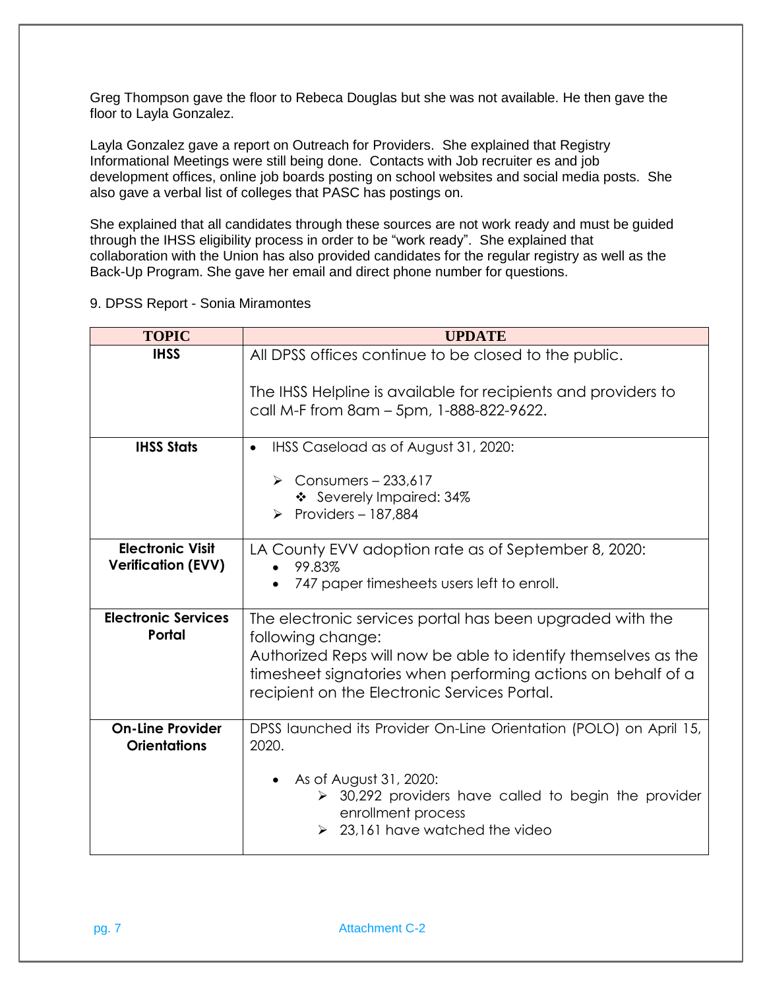Greg Thompson gave the floor to Rebeca Douglas but she was not available. He then gave the floor to Layla Gonzalez.

Layla Gonzalez gave a report on Outreach for Providers. She explained that Registry Informational Meetings were still being done. Contacts with Job recruiter es and job development offices, online job boards posting on school websites and social media posts. She also gave a verbal list of colleges that PASC has postings on.

She explained that all candidates through these sources are not work ready and must be guided through the IHSS eligibility process in order to be "work ready". She explained that collaboration with the Union has also provided candidates for the regular registry as well as the Back-Up Program. She gave her email and direct phone number for questions.

9. DPSS Report - Sonia Miramontes

| <b>TOPIC</b>                                         | <b>UPDATE</b>                                                                                                                                                                                                                                                    |
|------------------------------------------------------|------------------------------------------------------------------------------------------------------------------------------------------------------------------------------------------------------------------------------------------------------------------|
| <b>IHSS</b>                                          | All DPSS offices continue to be closed to the public.                                                                                                                                                                                                            |
|                                                      | The IHSS Helpline is available for recipients and providers to<br>call M-F from 8am - 5pm, 1-888-822-9622.                                                                                                                                                       |
| <b>IHSS Stats</b>                                    | IHSS Caseload as of August 31, 2020:<br>$\bullet$                                                                                                                                                                                                                |
|                                                      | $\triangleright$ Consumers - 233,617<br>❖ Severely Impaired: 34%<br>Providers $-187,884$                                                                                                                                                                         |
| <b>Electronic Visit</b><br><b>Verification (EVV)</b> | LA County EVV adoption rate as of September 8, 2020:<br>99.83%<br>$\bullet$<br>747 paper timesheets users left to enroll.                                                                                                                                        |
| <b>Electronic Services</b><br>Portal                 | The electronic services portal has been upgraded with the<br>following change:<br>Authorized Reps will now be able to identify themselves as the<br>timesheet signatories when performing actions on behalf of a<br>recipient on the Electronic Services Portal. |
| <b>On-Line Provider</b><br><b>Orientations</b>       | DPSS launched its Provider On-Line Orientation (POLO) on April 15,<br>2020.<br>As of August 31, 2020:<br>$\bullet$<br>$\geq$ 30,292 providers have called to begin the provider<br>enrollment process<br>23,161 have watched the video                           |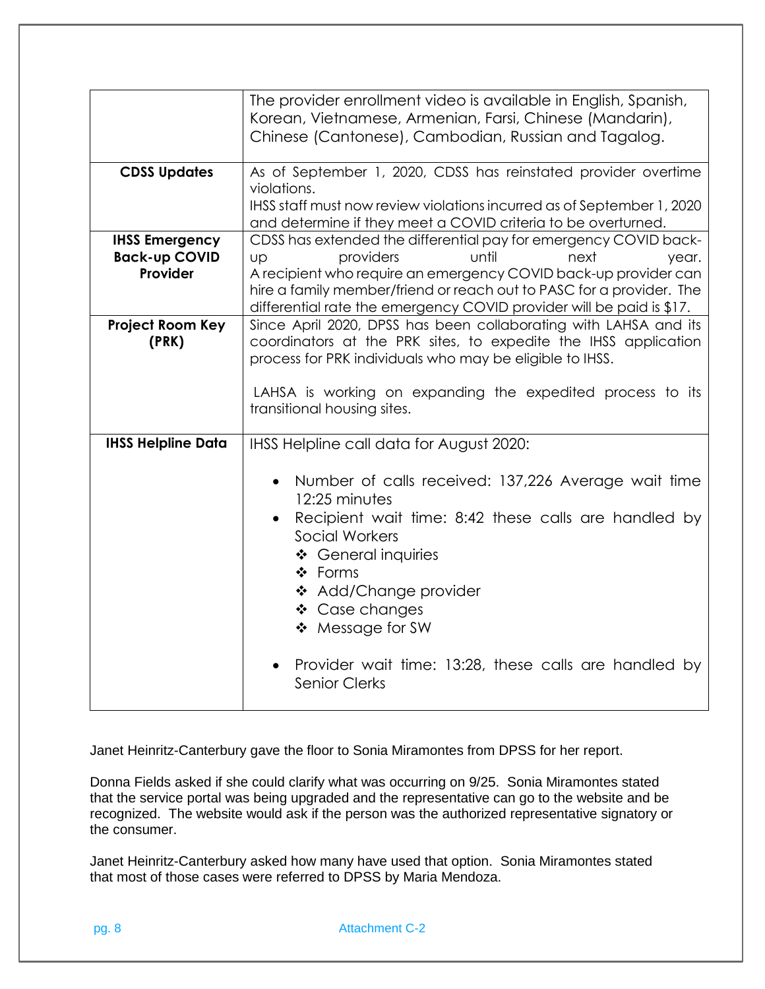|                                                           | The provider enrollment video is available in English, Spanish,<br>Korean, Vietnamese, Armenian, Farsi, Chinese (Mandarin),<br>Chinese (Cantonese), Cambodian, Russian and Tagalog.                                                                                                                                                     |
|-----------------------------------------------------------|-----------------------------------------------------------------------------------------------------------------------------------------------------------------------------------------------------------------------------------------------------------------------------------------------------------------------------------------|
| <b>CDSS Updates</b>                                       | As of September 1, 2020, CDSS has reinstated provider overtime<br>violations.<br>IHSS staff must now review violations incurred as of September 1, 2020                                                                                                                                                                                 |
|                                                           | and determine if they meet a COVID criteria to be overturned.                                                                                                                                                                                                                                                                           |
| <b>IHSS Emergency</b><br><b>Back-up COVID</b><br>Provider | CDSS has extended the differential pay for emergency COVID back-<br>providers<br>until<br>next<br><b>UD</b><br>year.<br>A recipient who require an emergency COVID back-up provider can<br>hire a family member/friend or reach out to PASC for a provider. The<br>differential rate the emergency COVID provider will be paid is \$17. |
| <b>Project Room Key</b><br>(PRK)                          | Since April 2020, DPSS has been collaborating with LAHSA and its<br>coordinators at the PRK sites, to expedite the IHSS application<br>process for PRK individuals who may be eligible to IHSS.<br>LAHSA is working on expanding the expedited process to its<br>transitional housing sites.                                            |
| <b>IHSS Helpline Data</b>                                 | IHSS Helpline call data for August 2020:                                                                                                                                                                                                                                                                                                |
|                                                           | Number of calls received: 137,226 Average wait time<br>12:25 minutes<br>Recipient wait time: 8:42 these calls are handled by<br>Social Workers<br>❖ General inquiries<br>❖ Forms<br>❖ Add/Change provider<br>❖ Case changes<br>❖ Message for SW<br>Provider wait time: 13:28, these calls are handled by<br><b>Senior Clerks</b>        |

Janet Heinritz-Canterbury gave the floor to Sonia Miramontes from DPSS for her report.

Donna Fields asked if she could clarify what was occurring on 9/25. Sonia Miramontes stated that the service portal was being upgraded and the representative can go to the website and be recognized. The website would ask if the person was the authorized representative signatory or the consumer.

Janet Heinritz-Canterbury asked how many have used that option. Sonia Miramontes stated that most of those cases were referred to DPSS by Maria Mendoza.